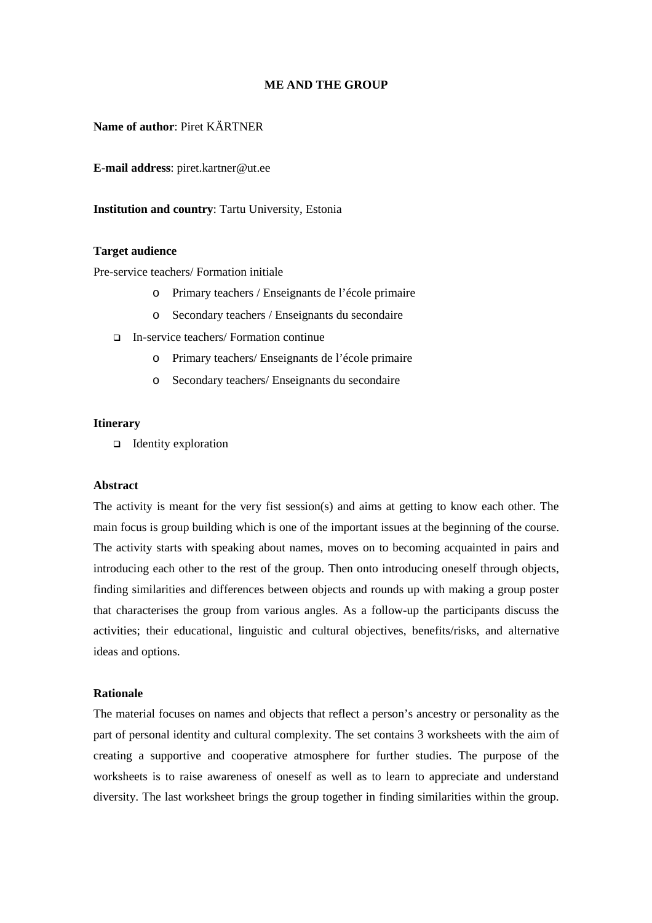## **ME AND THE GROUP**

## **Name of author**: Piret KÄRTNER

**E-mail address**: piret.kartner@ut.ee

### **Institution and country**: Tartu University, Estonia

### **Target audience**

Pre-service teachers/ Formation initiale

- o Primary teachers / Enseignants de l'école primaire
- o Secondary teachers / Enseignants du secondaire
- In-service teachers/ Formation continue
	- o Primary teachers/ Enseignants de l'école primaire
	- o Secondary teachers/ Enseignants du secondaire

#### **Itinerary**

 $\Box$  Identity exploration

#### **Abstract**

The activity is meant for the very fist session(s) and aims at getting to know each other. The main focus is group building which is one of the important issues at the beginning of the course. The activity starts with speaking about names, moves on to becoming acquainted in pairs and introducing each other to the rest of the group. Then onto introducing oneself through objects, finding similarities and differences between objects and rounds up with making a group poster that characterises the group from various angles. As a follow-up the participants discuss the activities; their educational, linguistic and cultural objectives, benefits/risks, and alternative ideas and options.

### **Rationale**

The material focuses on names and objects that reflect a person's ancestry or personality as the part of personal identity and cultural complexity. The set contains 3 worksheets with the aim of creating a supportive and cooperative atmosphere for further studies. The purpose of the worksheets is to raise awareness of oneself as well as to learn to appreciate and understand diversity. The last worksheet brings the group together in finding similarities within the group.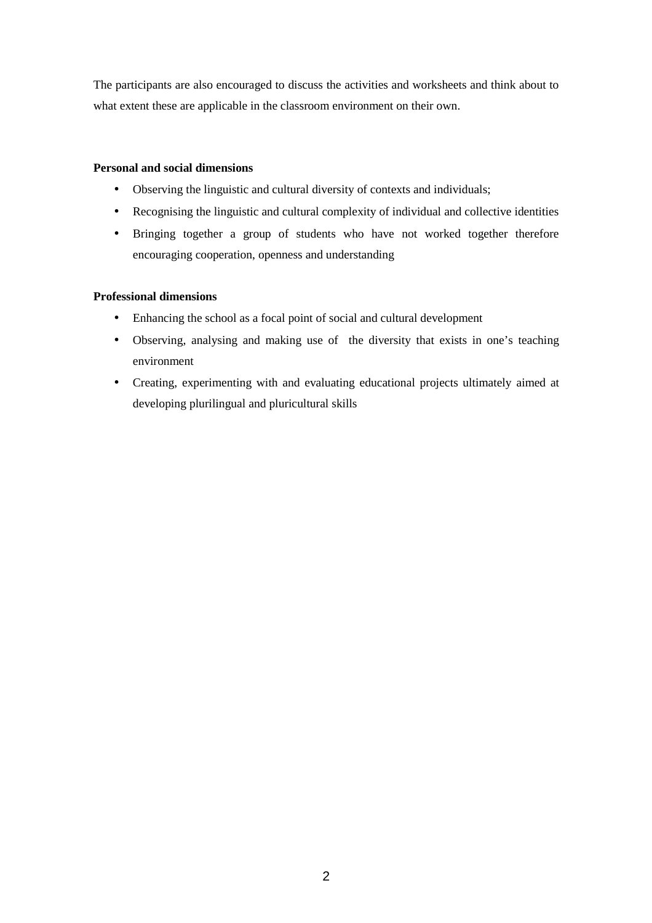The participants are also encouraged to discuss the activities and worksheets and think about to what extent these are applicable in the classroom environment on their own.

# **Personal and social dimensions**

- Observing the linguistic and cultural diversity of contexts and individuals;
- Recognising the linguistic and cultural complexity of individual and collective identities
- Bringing together a group of students who have not worked together therefore encouraging cooperation, openness and understanding

## **Professional dimensions**

- Enhancing the school as a focal point of social and cultural development
- Observing, analysing and making use of the diversity that exists in one's teaching environment
- Creating, experimenting with and evaluating educational projects ultimately aimed at developing plurilingual and pluricultural skills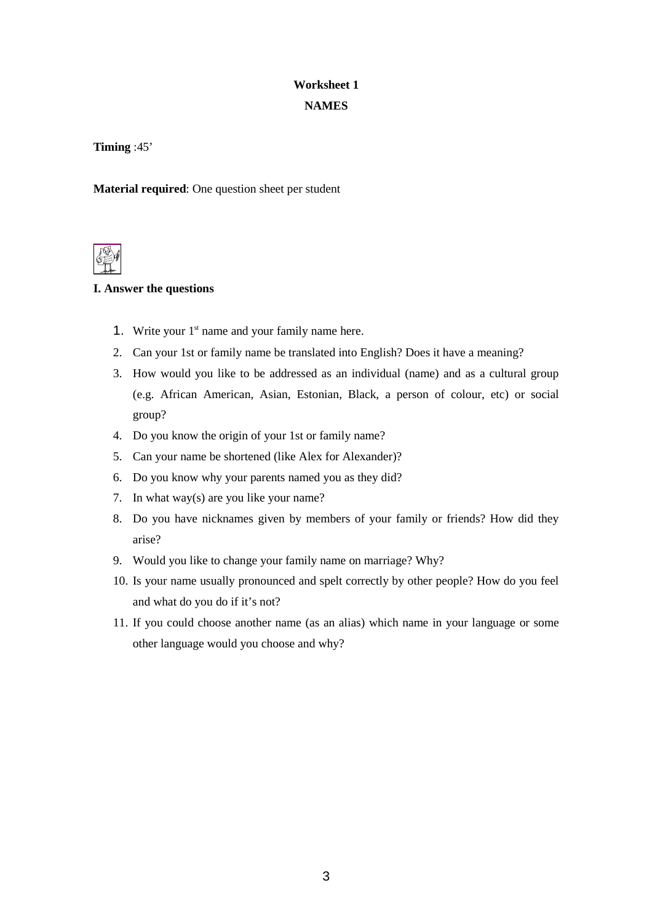# **Worksheet 1 NAMES**

**Timing** :45'

**Material required**: One question sheet per student



# **I. Answer the questions**

- 1. Write your  $1<sup>st</sup>$  name and your family name here.
- 2. Can your 1st or family name be translated into English? Does it have a meaning?
- 3. How would you like to be addressed as an individual (name) and as a cultural group (e.g. African American, Asian, Estonian, Black, a person of colour, etc) or social group?
- 4. Do you know the origin of your 1st or family name?
- 5. Can your name be shortened (like Alex for Alexander)?
- 6. Do you know why your parents named you as they did?
- 7. In what way(s) are you like your name?
- 8. Do you have nicknames given by members of your family or friends? How did they arise?
- 9. Would you like to change your family name on marriage? Why?
- 10. Is your name usually pronounced and spelt correctly by other people? How do you feel and what do you do if it's not?
- 11. If you could choose another name (as an alias) which name in your language or some other language would you choose and why?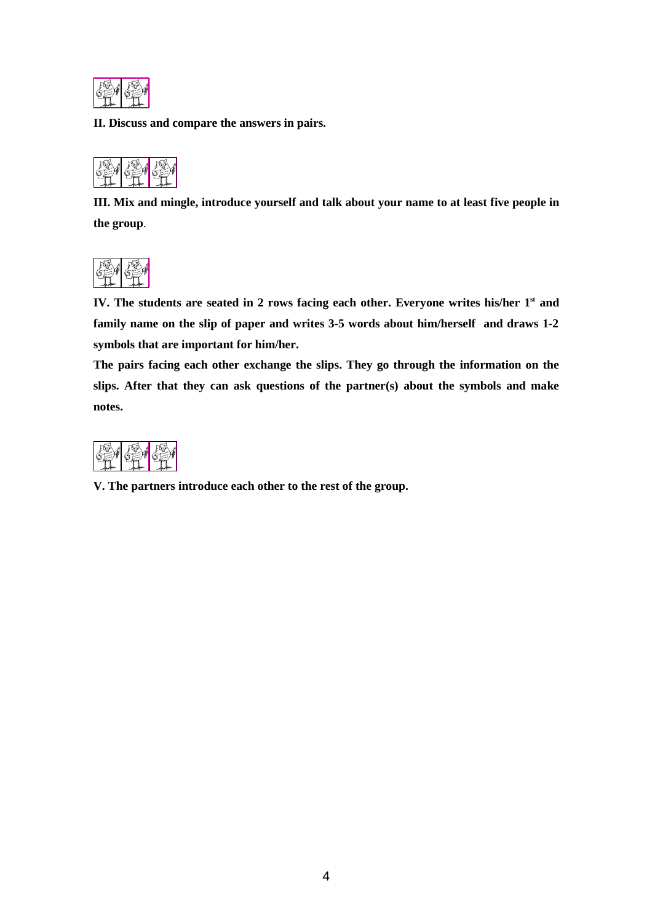

**II. Discuss and compare the answers in pairs.**



**III. Mix and mingle, introduce yourself and talk about your name to at least five people in the group**.



**IV. The students are seated in 2 rows facing each other. Everyone writes his/her 1st and family name on the slip of paper and writes 3-5 words about him/herself and draws 1-2 symbols that are important for him/her.** 

**The pairs facing each other exchange the slips. They go through the information on the slips. After that they can ask questions of the partner(s) about the symbols and make notes.**



**V. The partners introduce each other to the rest of the group.**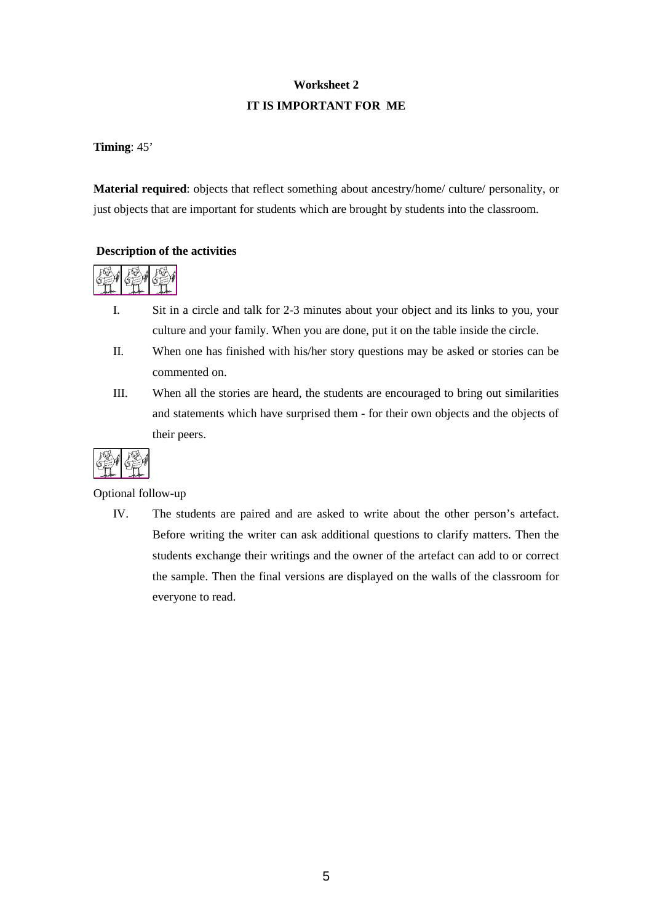# **Worksheet 2 IT IS IMPORTANT FOR ME**

# **Timing**: 45'

**Material required**: objects that reflect something about ancestry/home/ culture/ personality, or just objects that are important for students which are brought by students into the classroom.

# **Description of the activities**



- I. Sit in a circle and talk for 2-3 minutes about your object and its links to you, your culture and your family. When you are done, put it on the table inside the circle.
- II. When one has finished with his/her story questions may be asked or stories can be commented on.
- III. When all the stories are heard, the students are encouraged to bring out similarities and statements which have surprised them - for their own objects and the objects of their peers.



Optional follow-up

IV. The students are paired and are asked to write about the other person's artefact. Before writing the writer can ask additional questions to clarify matters. Then the students exchange their writings and the owner of the artefact can add to or correct the sample. Then the final versions are displayed on the walls of the classroom for everyone to read.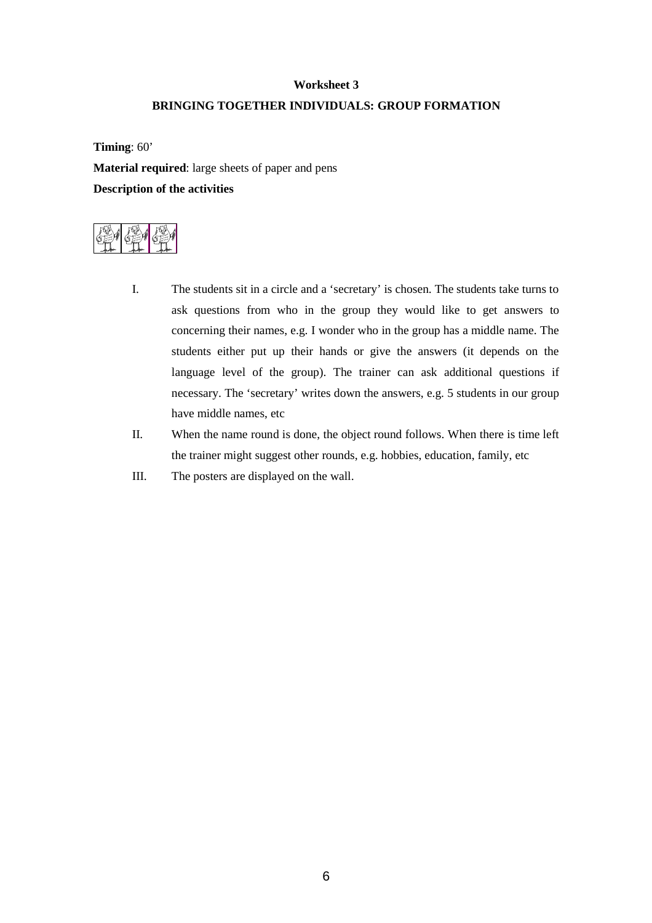# **Worksheet 3 BRINGING TOGETHER INDIVIDUALS: GROUP FORMATION**

**Timing**: 60' **Material required**: large sheets of paper and pens **Description of the activities** 



- I. The students sit in a circle and a 'secretary' is chosen. The students take turns to ask questions from who in the group they would like to get answers to concerning their names, e.g. I wonder who in the group has a middle name. The students either put up their hands or give the answers (it depends on the language level of the group). The trainer can ask additional questions if necessary. The 'secretary' writes down the answers, e.g. 5 students in our group have middle names, etc
- II. When the name round is done, the object round follows. When there is time left the trainer might suggest other rounds, e.g. hobbies, education, family, etc
- III. The posters are displayed on the wall.